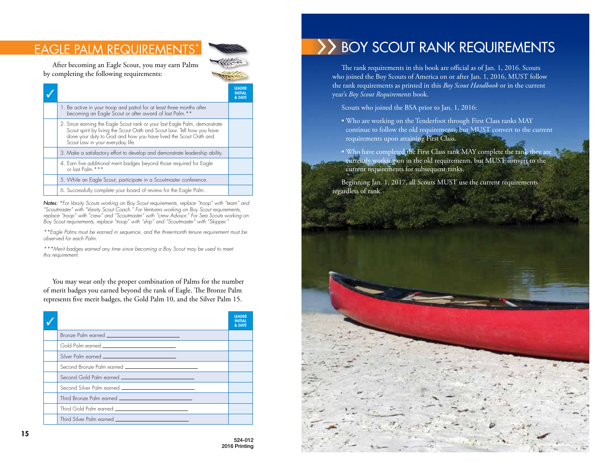## **EAGLE PALM REQUIREMENT**



After becoming an Eagle Scout, you may earn Palms by completing the following requirements:

|  |                                                                                                                                                                                                                                                             | <b>LEADER</b><br><b>INITIAL</b><br>& DATE |
|--|-------------------------------------------------------------------------------------------------------------------------------------------------------------------------------------------------------------------------------------------------------------|-------------------------------------------|
|  | 1. Be active in your troop and patrol for at least three months after becoming an Eagle Scout or after award of last Palm. * *                                                                                                                              |                                           |
|  | 2. Since earning the Eagle Scout rank or your last Eagle Palm, demonstrate<br>Scout spirit by living the Scout Oath and Scout Law. Tell how you have<br>done your duty to God and how you have lived the Scout Oath and<br>Scout Law in your everyday life. |                                           |
|  | 3. Make a satisfactory effort to develop and demonstrate leadership ability.                                                                                                                                                                                |                                           |
|  | 4. Earn five additional merit badges beyond those required for Eagle<br>or last Palm. * * *                                                                                                                                                                 |                                           |
|  | 5. While an Eagle Scout, participate in a Scoutmaster conference.                                                                                                                                                                                           |                                           |
|  | 6. Successfully complete your board of review for the Eagle Palm.                                                                                                                                                                                           |                                           |

*Notes: \*For Varsity Scouts working on Boy Scout requirements, replace "troop" with "team" and "Scoutmaster" with "Varsity Scout Coach." For Venturers working on Boy Scout requirements, replace "troop" with "crew" and "Scoutmaster" with "crew Advisor." For Sea Scouts working on Boy Scout requirements, replace "troop" with "ship" and "Scoutmaster" with "Skipper."*

*\*\*Eagle Palms must be earned in sequence, and the three-month tenure requirement must be observed for each Palm.*

*\*\*\*Merit badges earned any time since becoming a Boy Scout may be used to meet this requirement.*

You may wear only the proper combination of Palms for the number of merit badges you earned beyond the rank of Eagle. The Bronze Palm represents five merit badges, the Gold Palm 10, and the Silver Palm 15.

|                                                                    | <b>IFADER</b><br><b>&amp; DATF</b> |
|--------------------------------------------------------------------|------------------------------------|
| Bronze Palm earned ______________________________                  |                                    |
| Gold Palm earned __________________________                        |                                    |
| Silver Palm earned _____________________________                   |                                    |
| Second Bronze Palm earned _________________________                |                                    |
| Second Gold Palm earned <u>___________________________________</u> |                                    |
| Second Silver Palm earned ____________________________             |                                    |
| Third Bronze Palm earned _____________________________             |                                    |
| Third Gold Palm earned _____________________________               |                                    |
|                                                                    |                                    |

# >> BOY SCOUT RANK REQUIREMENTS

The rank requirements in this book are official as of Jan. 1, 2016. Scouts who joined the Boy Scouts of America on or after Jan. 1, 2016, MUST follow the rank requirements as printed in this *Boy Scout Handbook* or in the current year's *Boy Scout Requirements* book.

Scouts who joined the BSA prior to Jan. 1, 2016:

- Who are working on the Tenderfoot through First Class ranks MAY continue to follow the old requirements, but MUST convert to the current requirements upon attaining First Class.
- Who have completed the First Class rank MAY complete the rank they are currently working on in the old requirements, but MUST convert to the current requirements for subsequent ranks.

Beginning Jan. 1, 2017, all Scouts MUST use the current requirements regardless of rank.

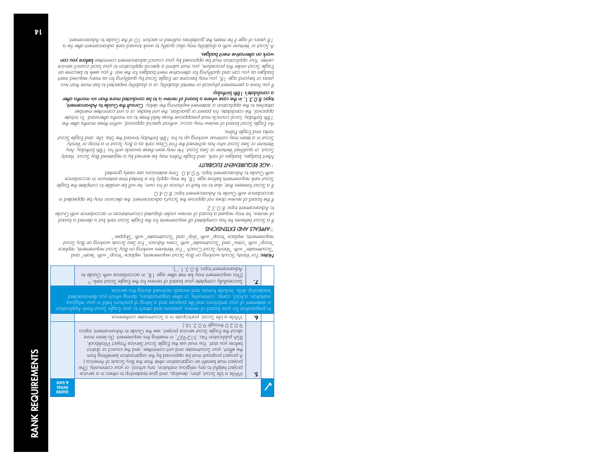|                                                  | of shive member and your tead of a labler and coordance with Guide to<br>Successfully complete your board of review for the Eagle Scout rank. <sup>10</sup>                                                                                                                                                                                                                                                                                                                                                                                                                                                                                                                            | $\cdot$ |  |
|--------------------------------------------------|----------------------------------------------------------------------------------------------------------------------------------------------------------------------------------------------------------------------------------------------------------------------------------------------------------------------------------------------------------------------------------------------------------------------------------------------------------------------------------------------------------------------------------------------------------------------------------------------------------------------------------------------------------------------------------------|---------|--|
|                                                  | leadership skills. Include honors and awards received during this service.<br>belontanomeb uov dointu games assembly, or other organizations, annito which you demonstrated<br>auoigilen nuoy ni bleri anoitizoq to gnitail o brio ezoqiuq etil brio anoitidmo nuoy to triemetota p<br>In preparation for your board of review, prepare and attach to your Eagle Scout Rank Application                                                                                                                                                                                                                                                                                                |         |  |
|                                                  | While a Lite Scout, participate in a Scoutmaster conterence.                                                                                                                                                                                                                                                                                                                                                                                                                                                                                                                                                                                                                           | ۰٥      |  |
|                                                  | (.61.S.0.9 dpuondt 0.S.0.9<br>about the Eagle Scout service project, see the Guide to Advancement, topics<br>sion nublication No. 512-927, in meeting this requirement. (To learn more<br>betore you start. You must use the Eagle Scout Service Project Workbook,<br>the eltort, your Scoutmaster and unit committee, and the council or district<br>moni project proposal must be approved by the organization benefiting from<br>project must benefit an organization other than the Boy Scouts of America.)<br>project helptul to any religious institution, any school, or your community. (The<br>v hile a Lite Scout, plan, develop, and give leadership to athers in a service | ۰ç      |  |
| <b>S DATE</b><br><b>TAITIVI</b><br><b>LEADER</b> |                                                                                                                                                                                                                                                                                                                                                                                                                                                                                                                                                                                                                                                                                        |         |  |
|                                                  |                                                                                                                                                                                                                                                                                                                                                                                                                                                                                                                                                                                                                                                                                        |         |  |

*For Varsity Scouts working on Boy Scout requirements, replace "troop" with "team" and Notes: "Scoutmaster" with "Varsity Scout Coach." For Venturers working on Boy Scout requirements, replace "troop" with "crew" and "Scoutmaster" with "crew Advisor." For Sea Scouts working on Boy Scout requirements, replace "troop" with "ship" and "Scoutmaster" with "Skipper."* 

#### *APPEALS AND EXTENSIONS <sup>10</sup>*

topic 8.0.3.1. *Advancement* 11).

*If a Scout believes he has completed all requirements for the Eagle Scout rank but is denied a board*  Guide *of review, he may request a board of review under disputed circumstances in accordance with*  **to Advancement topic 8.0.3.** 

*If the board of review does not approve the Scout's advancement, the decision may be appealed in topic 8.0.4.0.* Guide to Advancement *accordance with* 

*If a Scout foresees that, due to no fault or choice of his own, he will be unable to complete the Eagle Scout rank requirements before age 18, he may apply for a limited time extension in accordance*  with Guide to Advancement topic 9.0.4.0. Time extensions are rarely granted.

#### *<b>AGE REQUIREMENT ELIGIBILITY*

*Merit badges, badges of rank, and Eagle Palms may be earned by a registered Boy Scout, Varsity Scout, or qualified Venturer or Sea Scout. He may earn these awards until his 18th birthday. Any Venturer or Sea Scout who has achieved the First Class rank as a Boy Scout in a troop or Varsity Scout in a team may continue working up to his 18th birthday toward the Star, Life, and Eagle Scout ranks and Eagle Palms.* 

*An Eagle Scout board of review may occur, without special approval, within three months after the 18th birthday. Local councils must preapprove those held three to six months afterward. To initiate approval, the candidate, his parent or guardian, the unit leader, or a unit committee member*  Guide to Advancement, *Consult the attaches to the application a statement explaining the delay. topic 8.0.3.1, in the case where a board of review is to be conducted more than six months after* 

*If you have a permanent physical or mental disability, or a disability expected to last more than two years or beyond age 18, you may become an Eagle Scout by qualifying for as many required merit badges as you can and qualifying for alternative merit badges for the rest. If you seek to become an Eagle Scout under this procedure, you must submit a special application to your local council service before you can center. Your application must be approved by your council advancement committee* 

### *work on alternative merit badges.*

*a candidate's 18th birthday.*

*A Scout or Venturer with a disability may also qualify to work toward rank advancement after he is*  Guide to Advancement. *18 years of age if he meets the guidelines outlined in section 10 of the*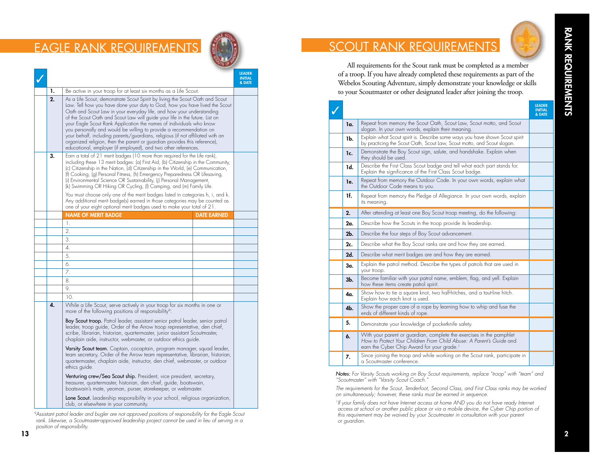## EAGLE RANK REQUIREMENTS

|    |                                                                                                                                                                                                                                                                                                                                                                                                                                                                                                                                                                                                                                                                                                                               |  | <b>IFADER</b><br><b>INITIAL</b><br>& DATE |  |
|----|-------------------------------------------------------------------------------------------------------------------------------------------------------------------------------------------------------------------------------------------------------------------------------------------------------------------------------------------------------------------------------------------------------------------------------------------------------------------------------------------------------------------------------------------------------------------------------------------------------------------------------------------------------------------------------------------------------------------------------|--|-------------------------------------------|--|
| 1. | Be active in your troop for at least six months as a Life Scout.                                                                                                                                                                                                                                                                                                                                                                                                                                                                                                                                                                                                                                                              |  |                                           |  |
| 2. | As a Life Scout, demonstrate Scout Spirit by living the Scout Oath and Scout<br>Law. Tell how you have done your duty to God, how you have lived the Scout<br>Oath and Scout Law in your everyday life, and how your understanding<br>of the Scout Oath and Scout Law will guide your life in the future. List on<br>your Eagle Scout Rank Application the names of individuals who know<br>you personally and would be willing to provide a recommendation on<br>your behalt, including parents/guardians, religious (it not affiliated with an<br>organized religion, then the parent or guardian provides this reference),<br>educational, employer (if employed), and two other references.                               |  |                                           |  |
| 3. | Earn a total of 21 merit badges (10 more than required for the Life rank),<br>including these 13 merit badges: (a) First Aid, (b) Citizenship in the Community,<br>(c) Citizenship in the Nation, (d) Citizenship in the World, (e) Communication,<br>(f) Cooking, (g) Personal Fitness, (h) Emergency Preparedness OR Lifesaving,<br>(i) Environmental Science OR Sustainability, (j) Personal Management,<br>(k) Swimming OR Hiking OR Cycling, (I) Camping, and (m) Family Life.<br>You must choose only one of the merit badges listed in categories h, i, and k.<br>Any additional merit badge(s) earned in those categories may be counted as<br>one of your eight optional merit badges used to make your total of 21. |  |                                           |  |
|    | <b>NAME OF MERIT BADGE</b><br><b>DATE EARNED</b>                                                                                                                                                                                                                                                                                                                                                                                                                                                                                                                                                                                                                                                                              |  |                                           |  |
|    | 1.                                                                                                                                                                                                                                                                                                                                                                                                                                                                                                                                                                                                                                                                                                                            |  |                                           |  |
|    | 2.                                                                                                                                                                                                                                                                                                                                                                                                                                                                                                                                                                                                                                                                                                                            |  |                                           |  |
|    | 3.                                                                                                                                                                                                                                                                                                                                                                                                                                                                                                                                                                                                                                                                                                                            |  |                                           |  |
|    | 4.                                                                                                                                                                                                                                                                                                                                                                                                                                                                                                                                                                                                                                                                                                                            |  |                                           |  |
|    | 5.                                                                                                                                                                                                                                                                                                                                                                                                                                                                                                                                                                                                                                                                                                                            |  |                                           |  |
|    | 6.                                                                                                                                                                                                                                                                                                                                                                                                                                                                                                                                                                                                                                                                                                                            |  |                                           |  |
|    | 7.                                                                                                                                                                                                                                                                                                                                                                                                                                                                                                                                                                                                                                                                                                                            |  |                                           |  |
|    | 8.                                                                                                                                                                                                                                                                                                                                                                                                                                                                                                                                                                                                                                                                                                                            |  |                                           |  |
|    | 9.                                                                                                                                                                                                                                                                                                                                                                                                                                                                                                                                                                                                                                                                                                                            |  |                                           |  |
|    | 10.                                                                                                                                                                                                                                                                                                                                                                                                                                                                                                                                                                                                                                                                                                                           |  |                                           |  |
| 4. | While a Life Scout, serve actively in your troop for six months in one or<br>more of the following positions of responsibility <sup>9</sup> :                                                                                                                                                                                                                                                                                                                                                                                                                                                                                                                                                                                 |  |                                           |  |
|    | <b>Boy Scout troop.</b> Patrol leader, assistant senior patrol leader, senior patrol<br>leader, troop guide, Order of the Arrow troop representative, den chief,<br>scribe, librarian, historian, quartermaster, junior assistant Scoutmaster,<br>chaplain aide, instructor, webmaster, or outdoor ethics guide.                                                                                                                                                                                                                                                                                                                                                                                                              |  |                                           |  |
|    | Varsity Scout team. Captain, cocaptain, program manager, squad leader,<br>team secretary, Order of the Arrow team representative, librarian, historian,<br>quartermaster, chaplain aide, instructor, den chiet, webmaster, or outdoor<br>ethics guide.                                                                                                                                                                                                                                                                                                                                                                                                                                                                        |  |                                           |  |
|    | <b>Venturing crew/Sea Scout ship.</b> President, vice president, secretary,<br>treasurer, quartermaster, historian, den chief, guide, boatswain,<br>boatswain's mate, yeoman, purser, storekeeper, or webmaster.                                                                                                                                                                                                                                                                                                                                                                                                                                                                                                              |  |                                           |  |
|    | <b>Lone Scout.</b> Leadership responsibility in your school, religious organization,<br>club, or elsewhere in your community.                                                                                                                                                                                                                                                                                                                                                                                                                                                                                                                                                                                                 |  |                                           |  |

*9Assistant patrol leader and bugler are not approved positions of responsibility for the Eagle Scout rank. Likewise, a Scoutmaster-approved leadership project cannot be used in lieu of serving in a position of responsibility.*

# SCOUT RANK REQUIREMENTS

All requirements for the Scout rank must be completed as a member of a troop. If you have already completed these requirements as part of the Webelos Scouting Adventure, simply demonstrate your knowledge or skills to your Scoutmaster or other designated leader after joining the troop.

|                |                                                                                                                                                                                                       | <b>LEADER</b><br><b>INITIAL</b><br>& DATE |
|----------------|-------------------------------------------------------------------------------------------------------------------------------------------------------------------------------------------------------|-------------------------------------------|
| la.            | Repeat from memory the Scout Oath, Scout Law, Scout motto, and Scout<br>slogan. In your own words, explain their meaning.                                                                             |                                           |
| 1b.            | Explain what Scout spirit is. Describe some ways you have shown Scout spirit<br>by practicing the Scout Oath, Scout Law, Scout motto, and Scout slogan.                                               |                                           |
| 1c.            | Demonstrate the Boy Scout sign, salute, and handshake. Explain when<br>they should be used.                                                                                                           |                                           |
| 1d.            | Describe the First Class Scout badge and tell what each part stands for.<br>Explain the significance of the First Class Scout badge.                                                                  |                                           |
| le.            | Repeat from memory the Outdoor Code. In your own words, explain what<br>the Outdoor Code means to you.                                                                                                |                                           |
| 1f.            | Repeat from memory the Pledge of Allegiance. In your own words, explain<br>its meaning.                                                                                                               |                                           |
| 2.             | After attending at least one Boy Scout troop meeting, do the following:                                                                                                                               |                                           |
| 2a.            | Describe how the Scouts in the troop provide its leadership.                                                                                                                                          |                                           |
| 2 <sub>b</sub> | Describe the four steps of Boy Scout advancement.                                                                                                                                                     |                                           |
| 2c.            | Describe what the Boy Scout ranks are and how they are earned.                                                                                                                                        |                                           |
| 2d.            | Describe what merit badges are and how they are earned.                                                                                                                                               |                                           |
| Зα.            | Explain the patrol method. Describe the types of patrols that are used in<br>your troop.                                                                                                              |                                           |
| $3b$ .         | Become familiar with your patrol name, emblem, flag, and yell. Explain<br>how these items create patrol spirit.                                                                                       |                                           |
| 4α.            | Show how to tie a square knot, two half-hitches, and a taut-line hitch.<br>Explain how each knot is used.                                                                                             |                                           |
| 4 <sub>b</sub> | Show the proper care of a rope by learning how to whip and fuse the<br>ends of different kinds of rope.                                                                                               |                                           |
| 5.             | Demonstrate your knowledge of pocketknife safety.                                                                                                                                                     |                                           |
| 6.             | With your parent or guardian, complete the exercises in the pamphlet<br>How to Protect Your Children From Child Abuse: A Parent's Guide and<br>earn the Cyber Chip Award for your grade. <sup>1</sup> |                                           |
| 7.             | Since joining the troop and while working on the Scout rank, participate in<br>a Scoutmaster conference.                                                                                              |                                           |

*Notes: For Varsity Scouts working on Boy Scout requirements, replace "troop" with "team" and "Scoutmaster" with "Varsity Scout Coach."*

*The requirements for the Scout, Tenderfoot, Second Class, and First Class ranks may be worked on simultaneously; however, these ranks must be earned in sequence.* 

<sup>1</sup>If your family does not have Internet access at home AND you do not have ready Internet *access at school or another public place or via a mobile device, the Cyber Chip portion of this requirement may be waived by your Scoutmaster in consultation with your parent or guardian.*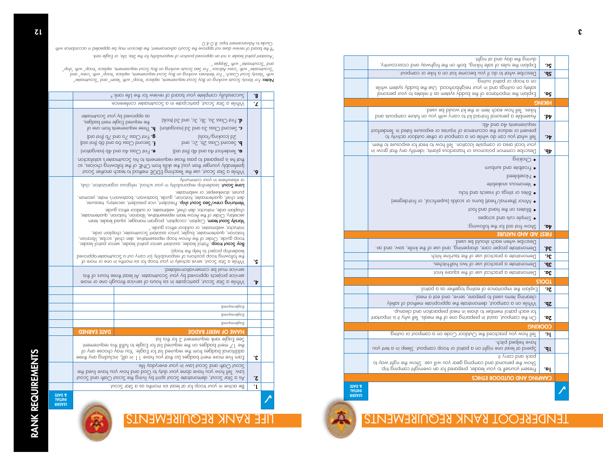

# TENDERFOOT RANK REQUIREMENTS

A

| ρc·             | thein to bno yob ent gniub.<br>Explain the rules of safe hiking, both on the highway and cross-country,                                                                                |                                                  |
|-----------------|----------------------------------------------------------------------------------------------------------------------------------------------------------------------------------------|--------------------------------------------------|
| ٠dċ             | Describe what to do it you become lost on a hike or campout.                                                                                                                           |                                                  |
| ٠pç             | on a troop or patrol outing.<br>slin'w meteye ybbud ent esU . boontodngien nuoy ni bna egnituo no ytefios<br>Ibnosteq tuoy of setplet ti zp meteye ybbud ent to eparbtoqmi ent niblqx3 |                                                  |
| HIKING          |                                                                                                                                                                                        |                                                  |
| .bA             | hikes. Tell how each item in the kit would be used.<br>bno stuogmos enutut no uoy dtiw ynos ot tix bio-terit Ibnoereg o eldmeseA                                                       |                                                  |
| .э4             | dA bno oA stnemeniuper<br>tootnebnel ni beteil enuzoqxe no seinujni to esnemusso ent esuben no trevenq<br>Tell what you can do while on a campout or other outdoor activity to         |                                                  |
| .dÞ             | your local area or campsite location. Tell how to treat tor exposure to them.<br>Describe common poisonous or hazardous plants; identity any that grow in                              |                                                  |
|                 | $6$ uiyoy $\bigcirc$                                                                                                                                                                   |                                                  |
|                 | mudnus bno etidteor1 ·                                                                                                                                                                 |                                                  |
|                 | <b>paaldezol/</b> •                                                                                                                                                                    |                                                  |
|                 | • Venomous snakebite                                                                                                                                                                   |                                                  |
|                 | exidit band about to agailar o adia $\bullet$                                                                                                                                          |                                                  |
|                 | • Minor (thermal/heat) burns or scalds (superficial, or first-degree)                                                                                                                  |                                                  |
|                 | • Blisters on the hand bad toot                                                                                                                                                        |                                                  |
|                 | e Simple cuts and scrapes                                                                                                                                                              |                                                  |
| .o <sup>p</sup> | :priwollot ent 10t bip teit worl?                                                                                                                                                      |                                                  |
|                 | <b>EIRST AID AND NATURE</b>                                                                                                                                                            |                                                  |
| <b>G</b>        | Describe when each should be used.<br>Demonstrate proper care, sharpening, and use of the knife, saw, and ax.                                                                          |                                                  |
| ာင္             | Demonstrate a practical use of the taut-line hitch.                                                                                                                                    |                                                  |
| α.              | Demonstrate a practical use of two half-hitches.                                                                                                                                       |                                                  |
| 3a.             | Demonstrate a practical use of the square knot.                                                                                                                                        |                                                  |
| <b>STOOL</b>    |                                                                                                                                                                                        |                                                  |
| υ£              | Explain the importance of eating together as a patrol.                                                                                                                                 |                                                  |
| ΣP.             | cleaning items used to prepare, serve, and eat a meal.<br>Vlaile on a campou, demonstrate the appropriate method of safely                                                             |                                                  |
| τoς.            | tor each patrol member to share in meal preparation and cleanup.<br>triphoqmi si ti ydw lleT .elbem edt to eno prinageng ni teizzo ,tuoqmpo edt nO                                     |                                                  |
| <b>COOKING</b>  |                                                                                                                                                                                        |                                                  |
| ٦L.             | Tell how you practiced the Outdoor Code on a campout or outing.                                                                                                                        |                                                  |
| d1              | have helped pitch.<br>bend at least one night on a patrol or troop campout. Sleep in a tent you                                                                                        |                                                  |
| .ol             | pack and carry it.<br>Show the personal and camping gear you will use. Show the right way to<br>Present yourselt to your leader, prepared tor an overnight camping trip.               |                                                  |
|                 | <b>CAMPING AND OUTDOOR ETHICS</b>                                                                                                                                                      |                                                  |
|                 |                                                                                                                                                                                        | <b>S DATE</b><br><b>JAITIMI</b><br><b>LEADER</b> |
|                 |                                                                                                                                                                                        |                                                  |

|    | or elsewhere in your community.<br>Lone Scout. Leadership responsibility in your school, religious organization, club,<br>purser, storekeeper, or webmaster.<br>den chiet, quartermaster, historian, guide, boatswain, boatswain's mate, yeoman,<br>Venturing crew/Sea Scout ship. President, vice president, secretary, treasurer,<br>chaplain aide, instructor, den chiet, webmaster, or outdoor ethics guide.<br>secretary, Order of the Arrow team representative, librarian, historian, quartermaster, |  |
|----|-------------------------------------------------------------------------------------------------------------------------------------------------------------------------------------------------------------------------------------------------------------------------------------------------------------------------------------------------------------------------------------------------------------------------------------------------------------------------------------------------------------|--|
|    | Varsity Scout team, Capain, cocaptain, program manager, squad leader, team<br>`abiug soidte noobtuo no ustanadew ,othusti<br>historian, quartermaster, bugler, junior assistant Scoutmaster, chaplain aide,<br>troop guide, Order of the Arrow troop representative, den chiet, scribe, librarian,<br><b>Boy Scout troop.</b> Patrol leader, assistant senior patrol leader, senior patrol leader,<br>leadership project to help the troop).                                                                |  |
| ۰ç | bevorgap-neteomius of responsibility (or carry out a Scoutmaster-approved<br>to snom no sno ni zdrnom xiz not qoon, nuo ni voli nonkus in one or more of                                                                                                                                                                                                                                                                                                                                                    |  |
| ٠Þ | .betolen-noitbvneanop ed taum epivnea.<br>service projects approved by your Scoutmaster. At least three hours of this<br>While a Star Scout, participate in six hours of service through one or more                                                                                                                                                                                                                                                                                                        |  |
|    |                                                                                                                                                                                                                                                                                                                                                                                                                                                                                                             |  |
|    | (bəriupər-əlga3)                                                                                                                                                                                                                                                                                                                                                                                                                                                                                            |  |
|    | (bəriupər-əlgad)                                                                                                                                                                                                                                                                                                                                                                                                                                                                                            |  |
|    | (beniuper-elgo3)                                                                                                                                                                                                                                                                                                                                                                                                                                                                                            |  |
|    | <b>DATE EARNED</b><br><b>NAME OF MERIT BADGE</b>                                                                                                                                                                                                                                                                                                                                                                                                                                                            |  |
| ς. | See Eagle rank requirement 3 for this list.<br>the 17 merit badges on the required list for Eagle to fulfill this requirement.<br>to ynn badges from the required list tor Eagle. You may choose any of<br>Earn five more meril badges (so that you have 11 in all), including any three                                                                                                                                                                                                                    |  |
| ۰ζ | Scout Oath and Scout Law in your everyday lite.<br>Law. Tell how you have done your duty to God and how you have lived the<br>tuos2 bno demonstrate Scout spirit by living the Scout Oath and Scout                                                                                                                                                                                                                                                                                                         |  |
|    | Be active in your troop for at least six months as a Star Scout.                                                                                                                                                                                                                                                                                                                                                                                                                                            |  |

7. | While a Star Scout, participate in a Scoutmaster conference.  $\mathbf{s}$ .  $\mid$  Successfully complete your board of review for the Life rank. $^8$ 

*7Assistant patrol leader is not an approved position of responsibility for the Star, Life, or Eagle rank.*

**Nobes:** For Varsily Scout working on Boy Scout requirements, replace "Intop" with "them" and "scoutmaster"<br>"Notesty" vars" diversion of the mand streaments working on Boy Scout requirements, replace "Mith" with "cream" *"Scoutmaster" with "crew Advisor." For Sea Scouts working on Boy Scout requirements, replace "troop" with "ship" and "Scoutmaster" with "Skipper."* 

*8If the board of review does not approve the Scout's advancement, the decision may be appealed in accordance with topic 8.0.4.0.* Guide to Advancement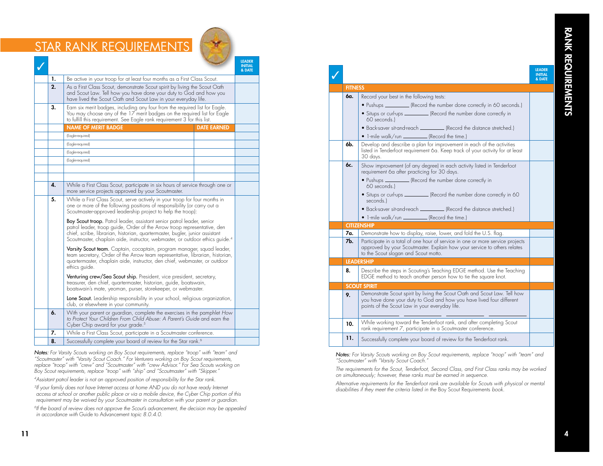# STAR RANK REQUIREMENTS



|                                                                                                                                                                                                                                                        |                                                                                                                                                                                                                                                                                                                                       |                                                                                                                                                                                                                                     |                    | <b>LEADER</b><br><b>INITIAL</b><br>& DATE |  |
|--------------------------------------------------------------------------------------------------------------------------------------------------------------------------------------------------------------------------------------------------------|---------------------------------------------------------------------------------------------------------------------------------------------------------------------------------------------------------------------------------------------------------------------------------------------------------------------------------------|-------------------------------------------------------------------------------------------------------------------------------------------------------------------------------------------------------------------------------------|--------------------|-------------------------------------------|--|
|                                                                                                                                                                                                                                                        | 1.                                                                                                                                                                                                                                                                                                                                    | Be active in your troop for at least four months as a First Class Scout.                                                                                                                                                            |                    |                                           |  |
|                                                                                                                                                                                                                                                        | 2.                                                                                                                                                                                                                                                                                                                                    | As a First Class Scout, demonstrate Scout spirit by living the Scout Oath<br>and Scout Law. Tell how you have done your duty to God and how you<br>have lived the Scout Oath and Scout Law in your everyday life.                   |                    |                                           |  |
|                                                                                                                                                                                                                                                        | 3.                                                                                                                                                                                                                                                                                                                                    | Earn six merit badges, including any four from the required list for Eagle.<br>You may choose any of the 17 merit badges on the required list for Eagle<br>to fulfill this requirement. See Eagle rank requirement 3 for this list. |                    |                                           |  |
|                                                                                                                                                                                                                                                        |                                                                                                                                                                                                                                                                                                                                       | <b>NAME OF MERIT BADGE</b>                                                                                                                                                                                                          | <b>DATE EARNED</b> |                                           |  |
|                                                                                                                                                                                                                                                        |                                                                                                                                                                                                                                                                                                                                       | (Eagle-required)                                                                                                                                                                                                                    |                    |                                           |  |
|                                                                                                                                                                                                                                                        |                                                                                                                                                                                                                                                                                                                                       | (Eagle-required)                                                                                                                                                                                                                    |                    |                                           |  |
|                                                                                                                                                                                                                                                        |                                                                                                                                                                                                                                                                                                                                       | (Eagle-required)                                                                                                                                                                                                                    |                    |                                           |  |
|                                                                                                                                                                                                                                                        |                                                                                                                                                                                                                                                                                                                                       | (Eagle-required)                                                                                                                                                                                                                    |                    |                                           |  |
|                                                                                                                                                                                                                                                        |                                                                                                                                                                                                                                                                                                                                       |                                                                                                                                                                                                                                     |                    |                                           |  |
|                                                                                                                                                                                                                                                        |                                                                                                                                                                                                                                                                                                                                       |                                                                                                                                                                                                                                     |                    |                                           |  |
|                                                                                                                                                                                                                                                        | 4.                                                                                                                                                                                                                                                                                                                                    | While a First Class Scout, participate in six hours of service through one or<br>more service projects approved by your Scoutmaster.                                                                                                |                    |                                           |  |
| 5.<br>While a First Class Scout, serve actively in your troop for four months in<br>one or more of the following positions of responsibility (or carry out a<br>Scoutmaster-approved leadership project to help the troop):                            |                                                                                                                                                                                                                                                                                                                                       |                                                                                                                                                                                                                                     |                    |                                           |  |
|                                                                                                                                                                                                                                                        | <b>Boy Scout troop.</b> Patrol leader, assistant senior patrol leader, senior<br>patrol leader, troop guide, Order of the Arrow troop representative, den<br>chief, scribe, librarian, historian, quartermaster, bugler, junior assistant<br>Scoutmaster, chaplain aide, instructor, webmaster, or outdoor ethics quide. <sup>4</sup> |                                                                                                                                                                                                                                     |                    |                                           |  |
| Varsity Scout team. Captain, cocaptain, program manager, squad leader,<br>team secretary, Order of the Arrow team representative, librarian, historian,<br>quartermaster, chaplain aide, instructor, den chief, webmaster, or outdoor<br>ethics guide. |                                                                                                                                                                                                                                                                                                                                       |                                                                                                                                                                                                                                     |                    |                                           |  |
|                                                                                                                                                                                                                                                        | Venturing crew/Sea Scout ship. President, vice president, secretary,<br>treasurer, den chief, quartermaster, historian, guide, boatswain,<br>boatswain's mate, yeoman, purser, storekeeper, or webmaster.                                                                                                                             |                                                                                                                                                                                                                                     |                    |                                           |  |
|                                                                                                                                                                                                                                                        |                                                                                                                                                                                                                                                                                                                                       | Lone Scout. Leadership responsibility in your school, religious organization,<br>club, or elsewhere in your community.                                                                                                              |                    |                                           |  |
|                                                                                                                                                                                                                                                        | 6.                                                                                                                                                                                                                                                                                                                                    | With your parent or guardian, complete the exercises in the pamphlet How<br>to Protect Your Children From Child Abuse: A Parent's Guide and earn the<br>Cyber Chip award for your grade. <sup>5</sup>                               |                    |                                           |  |
|                                                                                                                                                                                                                                                        | 7.                                                                                                                                                                                                                                                                                                                                    | While a First Class Scout, participate in a Scoutmaster conference.                                                                                                                                                                 |                    |                                           |  |
|                                                                                                                                                                                                                                                        | 8.                                                                                                                                                                                                                                                                                                                                    | Successfully complete your board of review for the Star rank. <sup>6</sup>                                                                                                                                                          |                    |                                           |  |
|                                                                                                                                                                                                                                                        |                                                                                                                                                                                                                                                                                                                                       |                                                                                                                                                                                                                                     |                    |                                           |  |

*Notes: For Varsity Scouts working on Boy Scout requirements, replace "troop" with "team" and "Scoutmaster" with "Varsity Scout Coach." For Venturers working on Boy Scout requirements, replace "troop" with "crew" and "Scoutmaster" with "crew Advisor." For Sea Scouts working on Boy Scout requirements, replace "troop" with "ship" and "Scoutmaster" with "Skipper."* 

*4Assistant patrol leader is not an approved position of responsibility for the Star rank.*

*5If your family does not have Internet access at home AND you do not have ready Internet access at school or another public place or via a mobile device, the Cyber Chip portion of this*  requirement may be waived by your Scoutmaster in consultation with your parent or guardian.

*6If the board of review does not approve the Scout's advancement, the decision may be appealed in accordance with* Guide to Advancement *topic 8.0.4.0.* 

# **FITNESS**

| icipate in six hours of service through one or<br>d by your Scoutmaster.                                                                                                                         |  |
|--------------------------------------------------------------------------------------------------------------------------------------------------------------------------------------------------|--|
| e actively in your troop for four months in<br>ositions of responsibility (or carry out a<br>ip project to help the troop):                                                                      |  |
| assistant senior patrol leader, senior<br>ler of the Arrow troop representative, den<br>n, quartermaster, bugler, junior assistant<br>structor, webmaster, or outdoor ethics guide. <sup>4</sup> |  |
| ocaptain, program manager, squad leader,<br>rrow team representative, librarian, historian,<br>nstructor, den chief, webmaster, or outdoor                                                       |  |
| o. President, vice president, secretary,<br>ster, historian, guide, boatswain,<br>rser, storekeeper, or webmaster.                                                                               |  |
| sibility in your school, religious organization,<br>munity.                                                                                                                                      |  |
| complete the exercises in the pamphlet How<br>Child Abuse: A Parent's Guide and earn the<br>ade. 5                                                                                               |  |
| icinate in a Scoutmaster conference                                                                                                                                                              |  |

## ✓ LEADER INITIAL & DATE **6a.** Record your best in the following tests: • Pushups (Record the number done correctly in 60 seconds.) • Situps or curl-ups (Record the number done correctly in 60 seconds.) • Back-saver sit-and-reach (Record the distance stretched.)  $\bullet$  1-mile walk/run  $\frac{1}{\sqrt{R}}$  (Record the time.) 6b. Develop and describe a plan for improvement in each of the activities listed in Tenderfoot requirement 6a. Keep track of your activity for at least 30 days. 6c. Show improvement (of any degree) in each activity listed in Tenderfoot requirement 6a after practicing for 30 days. • Pushups (Record the number done correctly in 60 seconds.) • Situps or curl-ups (Record the number done correctly in 60 seconds.) • Back-saver sit-and-reach (Record the distance stretched.)  $\bullet$  1-mile walk/run  $\frac{1}{\sqrt{R}}$  (Record the time.) **CITIZENSHIP** 7a. | Demonstrate how to display, raise, lower, and fold the U.S. flag. 7b. Participate in a total of one hour of service in one or more service projects approved by your Scoutmaster. Explain how your service to others relates to the Scout slogan and Scout motto. **LEADERSHIP** 8. **Describe the steps in Scouting's Teaching EDGE method. Use the Teaching** EDGE method to teach another person how to tie the square knot. SCO 9. Demonstrate Scout spirit by living the Scout Oath and Scout Law. Tell how you have done your duty to God and how you have lived four different points of the Scout Law in your everyday life. 10. While working toward the Tenderfoot rank, and after completing Scout rank requirement 7, participate in a Scoutmaster conference. 11. Successfully complete your board of review for the Tenderfoot rank.

*Notes: For Varsity Scouts working on Boy Scout requirements, replace "troop" with "team" and "Scoutmaster" with "Varsity Scout Coach."*

*The requirements for the Scout, Tenderfoot, Second Class, and First Class ranks may be worked on simultaneously; however, these ranks must be earned in sequence.* 

*Alternative requirements for the Tenderfoot rank are available for Scouts with physical or mental disabilities if they meet the criteria listed in the* Boy Scout Requirements *book.*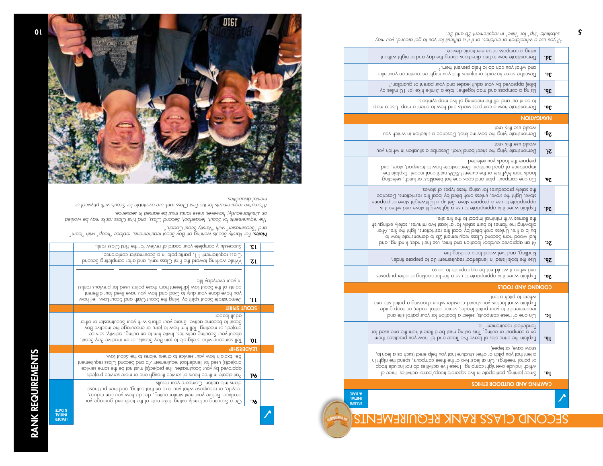INITIAL & DATE

| .bε<br>3c.<br>3b.<br>3a.<br><b><i>UOITA</i></b> DIVAN<br>۰6 <sub>ζ</sub><br>ΉZ<br>2e.<br><b>΄Ρζ</b> | using a compass or an electronic device.<br>Demonstrate how to find directions during the day and ot night without<br>$\epsilon$ ment you can do to help prevent them. <sup>2</sup><br>Describe some hazards or injuries that you might encounter on your hike<br>pike) approved by your adult leader and your parent or guardian. <sup>2</sup><br>Vd zəlim 0 l no) əxirl əlim-c b əxbt , tərkə a silikə (or 10 miles by<br>slodmye qpm svit to gninpem ent llet bnp tuo tnioq ot.<br>Demonstrate how a compass works and how to orient a map. Use a map<br>tons eidt eeu bluow<br>Demonstrate tying the bowline knot. Describe a situation in which you<br>ton's int seu bluow<br>Demonstrate tying the sheet bend knot. Describe a situation in which you<br>prepare the toods you selected.<br>importance of good nutrition. Demonstrate how to transport, those, and<br>should mond MyPlate of the current USDA nutritional model. Explain the<br>On one campout, plan and cook one hot breaktast or lunch, selecting<br>the safety procedures for using these types of stoves.<br>stove. Light the stoots, unless prohibited by local fire restrictions. Describe |
|-----------------------------------------------------------------------------------------------------|------------------------------------------------------------------------------------------------------------------------------------------------------------------------------------------------------------------------------------------------------------------------------------------------------------------------------------------------------------------------------------------------------------------------------------------------------------------------------------------------------------------------------------------------------------------------------------------------------------------------------------------------------------------------------------------------------------------------------------------------------------------------------------------------------------------------------------------------------------------------------------------------------------------------------------------------------------------------------------------------------------------------------------------------------------------------------------------------------------------------------------------------------------------------|
|                                                                                                     |                                                                                                                                                                                                                                                                                                                                                                                                                                                                                                                                                                                                                                                                                                                                                                                                                                                                                                                                                                                                                                                                                                                                                                        |
|                                                                                                     |                                                                                                                                                                                                                                                                                                                                                                                                                                                                                                                                                                                                                                                                                                                                                                                                                                                                                                                                                                                                                                                                                                                                                                        |
|                                                                                                     |                                                                                                                                                                                                                                                                                                                                                                                                                                                                                                                                                                                                                                                                                                                                                                                                                                                                                                                                                                                                                                                                                                                                                                        |
|                                                                                                     |                                                                                                                                                                                                                                                                                                                                                                                                                                                                                                                                                                                                                                                                                                                                                                                                                                                                                                                                                                                                                                                                                                                                                                        |
|                                                                                                     |                                                                                                                                                                                                                                                                                                                                                                                                                                                                                                                                                                                                                                                                                                                                                                                                                                                                                                                                                                                                                                                                                                                                                                        |
|                                                                                                     |                                                                                                                                                                                                                                                                                                                                                                                                                                                                                                                                                                                                                                                                                                                                                                                                                                                                                                                                                                                                                                                                                                                                                                        |
|                                                                                                     |                                                                                                                                                                                                                                                                                                                                                                                                                                                                                                                                                                                                                                                                                                                                                                                                                                                                                                                                                                                                                                                                                                                                                                        |
|                                                                                                     |                                                                                                                                                                                                                                                                                                                                                                                                                                                                                                                                                                                                                                                                                                                                                                                                                                                                                                                                                                                                                                                                                                                                                                        |
|                                                                                                     | enpapriate to use a propane stove. Set up a lightweight stove or propane<br>Explain when it is appropriate to use a lightwate they evore and when it is                                                                                                                                                                                                                                                                                                                                                                                                                                                                                                                                                                                                                                                                                                                                                                                                                                                                                                                                                                                                                |
| υ£                                                                                                  | stis sit shi ot topqmi lominim diiw semplt sht.<br>dllowing the flames to burn safely for all teast two minutes, safely extinguish<br>build a fire. Unless prohibited by local fire restrictions, and the fire. After<br>of wood from Second Class requirement 2b to demonstrate how to<br>bno , gnilbnix , tebnit ent exu , emit bno noitopol toobtuo bevotqqp no tA                                                                                                                                                                                                                                                                                                                                                                                                                                                                                                                                                                                                                                                                                                                                                                                                  |
| ΣP.                                                                                                 | . Sil gnisloos a tot boow leut an a, enilbnist<br>Use the tools listed in Tenderhoot requirement 3d to prepare tinder,                                                                                                                                                                                                                                                                                                                                                                                                                                                                                                                                                                                                                                                                                                                                                                                                                                                                                                                                                                                                                                                 |
| οz.                                                                                                 | os ob ot etbinqonqqp ed ton bluow ti nerlw bnp.<br>Explain when it is appropriate to use a tire tor cooking or other purposes                                                                                                                                                                                                                                                                                                                                                                                                                                                                                                                                                                                                                                                                                                                                                                                                                                                                                                                                                                                                                                          |
|                                                                                                     | COOKING AND TOOLS                                                                                                                                                                                                                                                                                                                                                                                                                                                                                                                                                                                                                                                                                                                                                                                                                                                                                                                                                                                                                                                                                                                                                      |
| Jc.                                                                                                 | where to pitch a tent.<br>Explain what factors you should consider when choosing a patrol site and<br>recommend it to your patrol leader, senior patrol leader, or troop guide.<br>On one of these campouts, select a location for your patrol site and                                                                                                                                                                                                                                                                                                                                                                                                                                                                                                                                                                                                                                                                                                                                                                                                                                                                                                                |
| Jb.                                                                                                 | lendertoot requirement lc.<br>on a campout or outing This outing must be different from the one used for<br>Explain the principles of Leave No Trace and tell how you practiced them                                                                                                                                                                                                                                                                                                                                                                                                                                                                                                                                                                                                                                                                                                                                                                                                                                                                                                                                                                                   |
| .ol                                                                                                 | snow cave, or tepee).<br>a tent that you pitch or other structure that you help erect (such as a lean-to,<br>or patrol meetings. On al least two of the three campouts, spend the night in<br>qoon əbuləni ton ob zəitivitəb əvit əzərlī .gniqmpə trigiməvo əbuləni dəirlw<br>Since joining, parlicipate in tive separate troop/patrol activities, three of                                                                                                                                                                                                                                                                                                                                                                                                                                                                                                                                                                                                                                                                                                                                                                                                            |
|                                                                                                     | CAMPING AND OUTDOOR ETHICS                                                                                                                                                                                                                                                                                                                                                                                                                                                                                                                                                                                                                                                                                                                                                                                                                                                                                                                                                                                                                                                                                                                                             |
|                                                                                                     | <b>BIAG &amp;</b>                                                                                                                                                                                                                                                                                                                                                                                                                                                                                                                                                                                                                                                                                                                                                                                                                                                                                                                                                                                                                                                                                                                                                      |
|                                                                                                     | <b>JAITIVI</b>                                                                                                                                                                                                                                                                                                                                                                                                                                                                                                                                                                                                                                                                                                                                                                                                                                                                                                                                                                                                                                                                                                                                                         |

*2If you use a wheelchair or crutches, or if it is difficult for you to get around, you may substitute "trip" for "hike" in requirement 3b and 3c.* ς



 $\sum_{\substack{\text{1201cm} \text{all odd}}}$ 

**Oc.**  $\vert$  On a Scouting or family outing, take note of the trash and garbage you produce. Before your next similar outing, decide how you can reduce, recycle, or repurpose what you take on that outing, and then put those

**Pd.**  $\mid$  Participate in three hours of service through one or more service projects approved by your Scoutmaster. The project(s) must not be the same service project(s) used for Tenderfoot requirement 7b and Second Class requirement 8e. Explain how your service to others relates to the Scout Law.

**10.** | Tell someone who is eligible to join Boy Scouts, or an inactive Boy Scout, about your Scouting activities. Invite him to an outing, activity, service project, or meeting. Tell him how to join, or encourage the inactive Boy Scout to become active. Share your efforts with your Scoutmaster or other

**11.** | Demonstrate Scout spirit by living the Scout Oath and Scout Law. Tell how you have done your duty to God and how you have lived four different points of the Scout Law (different from those points used for previous ranks)

**I2.** While working toward the First Class rank, and after completing Second Class requirement 11, participate in a Scoutmaster conference.  $S$ uccessfully complete your board of review for the First Class rank.

 *For Varsity Scouts working on Boy Scout requirements, replace "troop" with "team" Notes:*

*The requirements for Scout, Tenderfoot, Second Class, and First Class ranks may be worked* 

*Alternative requirements for the First Class rank are available for Scouts with physical or* 

*on simultaneously; however, these ranks must be earned in sequence.*

plans into action. Compare your results.

**LEADERSHIP** 

SCOUT SPIRIT

*mental disabilities.*

adult leader.

in your everyday life.

*and "Scoutmaster" with "Varsity Scout Coach."*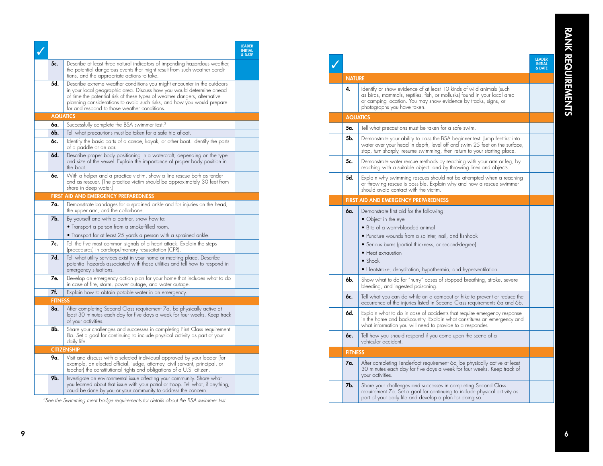|                 |                                                                                                                                                                                                                                                                                                                                                        | <b>LEADER</b><br><b>INITIAL</b><br>& DATE |
|-----------------|--------------------------------------------------------------------------------------------------------------------------------------------------------------------------------------------------------------------------------------------------------------------------------------------------------------------------------------------------------|-------------------------------------------|
| 5c.             | Describe at least three natural indicators of impending hazardous weather,<br>the potential dangerous events that might result from such weather condi-<br>tions, and the appropriate actions to take.                                                                                                                                                 |                                           |
| 5d.             | Describe extreme weather conditions you might encounter in the outdoors<br>in your local geographic area. Discuss how you would determine ahead<br>of time the potential risk of these types of weather dangers, alternative<br>planning considerations to avoid such risks, and how you would prepare<br>for and respond to those weather conditions. |                                           |
| <b>AQUATICS</b> |                                                                                                                                                                                                                                                                                                                                                        |                                           |
| 6a.             | Successfully complete the BSA swimmer test. <sup>3</sup>                                                                                                                                                                                                                                                                                               |                                           |
| 6b.             | Tell what precautions must be taken for a safe trip afloat.                                                                                                                                                                                                                                                                                            |                                           |
| 6c.             | Identify the basic parts of a canoe, kayak, or other boat. Identify the parts<br>of a paddle or an oar.                                                                                                                                                                                                                                                |                                           |
| 6d.             | Describe proper body positioning in a watercraft, depending on the type<br>and size of the vessel. Explain the importance of proper body position in<br>the boat.                                                                                                                                                                                      |                                           |
| 6e.             | With a helper and a practice victim, show a line rescue both as tender<br>and as rescuer. (The practice victim should be approximately 30 feet from<br>shore in deep water.)                                                                                                                                                                           |                                           |
|                 | FIRST AID AND EMERGENCY PREPAREDNESS                                                                                                                                                                                                                                                                                                                   |                                           |
| 7a.             | Demonstrate bandages for a sprained ankle and for injuries on the head,<br>the upper arm, and the collarbone.                                                                                                                                                                                                                                          |                                           |
| 7b.             | By yourself and with a partner, show how to:                                                                                                                                                                                                                                                                                                           |                                           |
|                 | $\bullet$ Transport a person from a smoke-filled room.                                                                                                                                                                                                                                                                                                 |                                           |
|                 | $\bullet$ Transport for at least 25 yards a person with a sprained ankle.                                                                                                                                                                                                                                                                              |                                           |
| 7c.             | Tell the five most common signals of a heart attack. Explain the steps<br>(procedures) in cardiopulmonary resuscitation (CPR).                                                                                                                                                                                                                         |                                           |
| 7d.             | Tell what utility services exist in your home or meeting place. Describe<br>potential hazards associated with these utilities and tell how to respond in<br>emergency situations.                                                                                                                                                                      |                                           |
| 7е.             | Develop an emergency action plan for your home that includes what to do<br>in case of tire, storm, power outage, and water outage.                                                                                                                                                                                                                     |                                           |
| 7f.             | Explain how to obtain potable water in an emergency.                                                                                                                                                                                                                                                                                                   |                                           |
| <b>FITNESS</b>  |                                                                                                                                                                                                                                                                                                                                                        |                                           |
| 8a.             | After completing Second Class requirement 7a, be physically active at<br>least 30 minutes each day for five days a week for four weeks. Keep track<br>ot your activities.                                                                                                                                                                              |                                           |
| 8b.             | Share your challenges and successes in completing First Class requirement<br>8a. Set a goal for continuing to include physical activity as part of your<br>daily life.                                                                                                                                                                                 |                                           |
|                 | <b>CITIZENSHIP</b>                                                                                                                                                                                                                                                                                                                                     |                                           |
| 9α.             | Visit and discuss with a selected individual approved by your leader (for<br>example, an elected official, judge, attorney, civil servant, principal, or<br>teacher) the constitutional rights and obligations of a U.S. citizen.                                                                                                                      |                                           |
| 9b.             | Investigate an environmental issue affecting your community. Share what<br>you learned about that issue with your patrol or troop. Tell what, if anything,<br>could be done by you or your community to address the concern.                                                                                                                           |                                           |

*3See the Swimming merit badge requirements for details about the BSA swimmer test.*

|                 |                                                                                                                                                                                                                                                                                                                                      | <b>LEADER</b><br><b>INITIAL</b><br>& DATE |  |
|-----------------|--------------------------------------------------------------------------------------------------------------------------------------------------------------------------------------------------------------------------------------------------------------------------------------------------------------------------------------|-------------------------------------------|--|
| <b>NATURE</b>   |                                                                                                                                                                                                                                                                                                                                      |                                           |  |
| 4.              | ldentify or show evidence of at least 10 kinds of wild animals (such<br>as birds, mammals, reptiles, fish, or mollusks) found in your local area<br>or camping location. You may show evidence by tracks, signs, or<br>photographs you have taken.                                                                                   |                                           |  |
| <b>AQUATICS</b> |                                                                                                                                                                                                                                                                                                                                      |                                           |  |
| 5a.             | Tell what precautions must be taken for a safe swim.                                                                                                                                                                                                                                                                                 |                                           |  |
| 5b.             | Demonstrate your ability to pass the BSA beginner test: Jump feetfirst into<br>water over your head in depth, level off and swim 25 feet on the surface,<br>stop, turn sharply, resume swimming, then return to your starting place.                                                                                                 |                                           |  |
| 5c.             | Demonstrate water rescue methods by reaching with your arm or leg, by<br>reaching with a suitable object, and by throwing lines and objects.                                                                                                                                                                                         |                                           |  |
| 5d.             | Explain why swimming rescues should not be attempted when a reaching<br>or throwing rescue is possible. Explain why and how a rescue swimmer<br>should avoid contact with the victim.                                                                                                                                                |                                           |  |
|                 | <b>FIRST AID AND EMERGENCY PREPAREDNESS</b>                                                                                                                                                                                                                                                                                          |                                           |  |
| 6a.             | Demonstrate first aid for the following:<br>• Object in the eye<br>• Bite of a warm-blooded animal<br>• Puncture wounds from a splinter, nail, and fishhook<br>• Serious burns (partial thickness, or second-degree)<br>$\bullet$ Heat exhaustion<br>$\bullet$ Shock<br>• Heatstroke, dehydration, hypothermia, and hyperventilation |                                           |  |
| 6b.             | Show what to do for "hurry" cases of stopped breathing, stroke, severe<br>bleeding, and ingested poisoning.                                                                                                                                                                                                                          |                                           |  |
| 6c.             | Tell what you can do while on a campout or hike to prevent or reduce the<br>occurrence of the injuries listed in Second Class requirements 6a and 6b.                                                                                                                                                                                |                                           |  |
| 6d.             | Explain what to do in case of accidents that require emergency response<br>in the home and backcountry. Explain what constitutes an emergency and<br>what information you will need to provide to a responder.                                                                                                                       |                                           |  |
| 6e.             | Tell how you should respond if you come upon the scene of a<br>vehicular accident.                                                                                                                                                                                                                                                   |                                           |  |
| <b>FITNESS</b>  |                                                                                                                                                                                                                                                                                                                                      |                                           |  |
| 7a.             | After completing Tenderfoot requirement 6c, be physically active at least<br>30 minutes each day for five days a week for four weeks. Keep track of<br>your activities.                                                                                                                                                              |                                           |  |
| 7b.             | Share your challenges and successes in completing Second Class<br>requirement 7a. Set a goal for continuing to include physical activity as<br>part of your daily life and develop a plan for doing so.                                                                                                                              |                                           |  |
|                 |                                                                                                                                                                                                                                                                                                                                      |                                           |  |